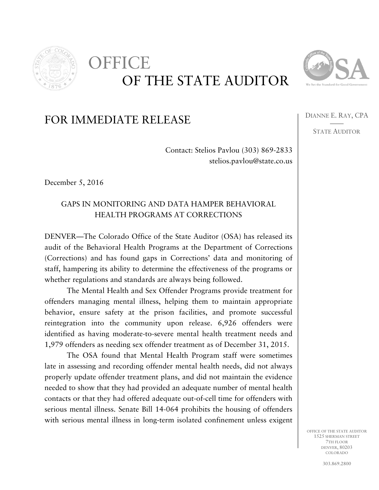

## OF THE STATE AUDITOR OFFICE



DIANNE E. RAY, CPA —— STATE AUDITOR

## FOR IMMEDIATE RELEASE

Contact: Stelios Pavlou (303) 869-2833 stelios.pavlou@state.co.us

December 5, 2016

## GAPS IN MONITORING AND DATA HAMPER BEHAVIORAL HEALTH PROGRAMS AT CORRECTIONS

DENVER—The Colorado Office of the State Auditor (OSA) has released its audit of the Behavioral Health Programs at the Department of Corrections (Corrections) and has found gaps in Corrections' data and monitoring of staff, hampering its ability to determine the effectiveness of the programs or whether regulations and standards are always being followed.

The Mental Health and Sex Offender Programs provide treatment for offenders managing mental illness, helping them to maintain appropriate behavior, ensure safety at the prison facilities, and promote successful reintegration into the community upon release. 6,926 offenders were identified as having moderate-to-severe mental health treatment needs and 1,979 offenders as needing sex offender treatment as of December 31, 2015.

The OSA found that Mental Health Program staff were sometimes late in assessing and recording offender mental health needs, did not always properly update offender treatment plans, and did not maintain the evidence needed to show that they had provided an adequate number of mental health contacts or that they had offered adequate out-of-cell time for offenders with serious mental illness. Senate Bill 14-064 prohibits the housing of offenders with serious mental illness in long-term isolated confinement unless exigent

> OFFICE OF THE STATE AUDITOR 1525 SHERMAN STREET 7TH FLOOR DENVER, 80203 COLORADO